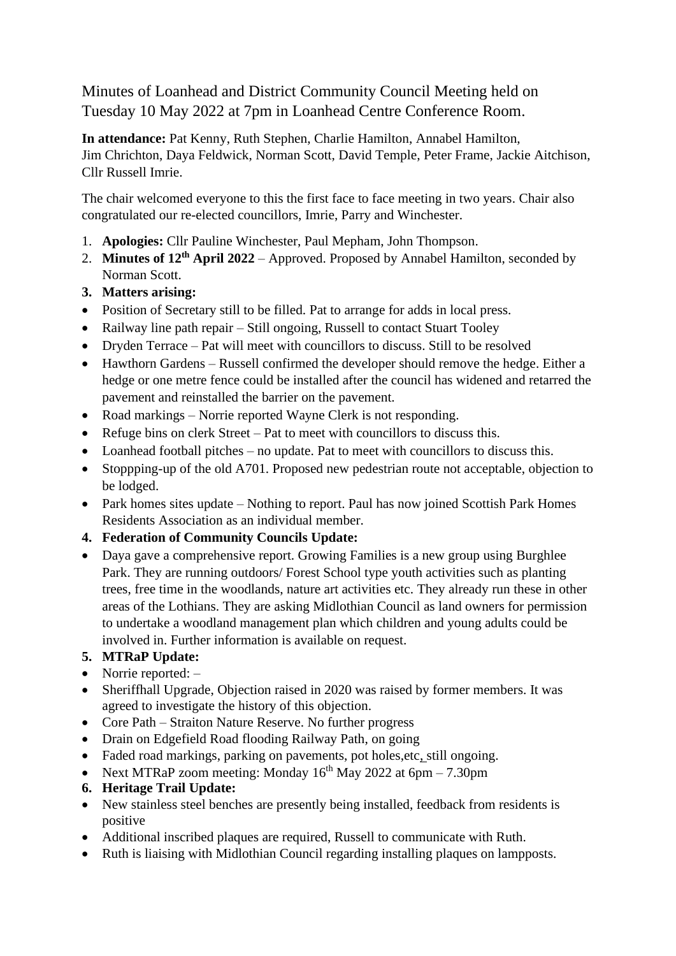Minutes of Loanhead and District Community Council Meeting held on Tuesday 10 May 2022 at 7pm in Loanhead Centre Conference Room.

**In attendance:** Pat Kenny, Ruth Stephen, Charlie Hamilton, Annabel Hamilton, Jim Chrichton, Daya Feldwick, Norman Scott, David Temple, Peter Frame, Jackie Aitchison, Cllr Russell Imrie.

The chair welcomed everyone to this the first face to face meeting in two years. Chair also congratulated our re-elected councillors, Imrie, Parry and Winchester.

- 1. **Apologies:** Cllr Pauline Winchester, Paul Mepham, John Thompson.
- 2. **Minutes of 12th April 2022** Approved. Proposed by Annabel Hamilton, seconded by Norman Scott.
- **3. Matters arising:**
- Position of Secretary still to be filled. Pat to arrange for adds in local press.
- Railway line path repair Still ongoing, Russell to contact Stuart Tooley
- Dryden Terrace Pat will meet with councillors to discuss. Still to be resolved
- Hawthorn Gardens Russell confirmed the developer should remove the hedge. Either a hedge or one metre fence could be installed after the council has widened and retarred the pavement and reinstalled the barrier on the pavement.
- Road markings Norrie reported Wayne Clerk is not responding.
- Refuge bins on clerk Street Pat to meet with councillors to discuss this.
- Loanhead football pitches no update. Pat to meet with councillors to discuss this.
- Stoppping-up of the old A701. Proposed new pedestrian route not acceptable, objection to be lodged.
- Park homes sites update Nothing to report. Paul has now joined Scottish Park Homes Residents Association as an individual member.
- **4. Federation of Community Councils Update:**
- Daya gave a comprehensive report. Growing Families is a new group using Burghlee Park. They are running outdoors/ Forest School type youth activities such as planting trees, free time in the woodlands, nature art activities etc. They already run these in other areas of the Lothians. They are asking Midlothian Council as land owners for permission to undertake a woodland management plan which children and young adults could be involved in. Further information is available on request.

## **5. MTRaP Update:**

- Norrie reported: –
- Sheriffhall Upgrade, Objection raised in 2020 was raised by former members. It was agreed to investigate the history of this objection.
- Core Path Straiton Nature Reserve. No further progress
- Drain on Edgefield Road flooding Railway Path, on going
- Faded road markings, parking on pavements, pot holes, etc, still ongoing.
- Next MTRaP zoom meeting: Monday  $16<sup>th</sup>$  May 2022 at 6pm 7.30pm
- **6. Heritage Trail Update:**
- New stainless steel benches are presently being installed, feedback from residents is positive
- Additional inscribed plaques are required, Russell to communicate with Ruth.
- Ruth is liaising with Midlothian Council regarding installing plaques on lampposts.